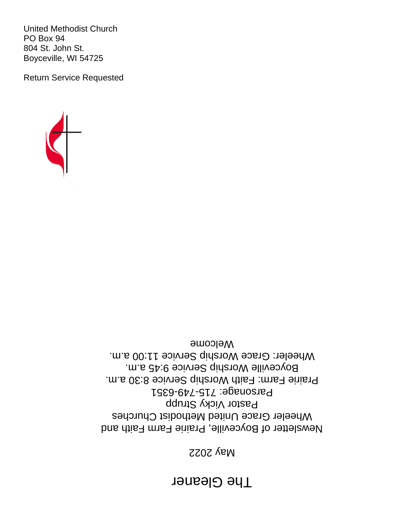# **The Gleaner**

## May 2022

Newsletter of Boyceville, Prairie Farm Faith and Wheeler Grace United Methodist Churches Pastor Vicky Strupp Parsonage: 715-749-6351 Prairie Farm: Faith Worship Service 8:30 a.m. Boyceville Worship Service 9:45 a.m. Wheeler: Grace Worship Service 11:00 a.m. Welcome



United Methodist Church PO Box 94 804 St. John St. Boyceville, WI 54725

Return Service Requested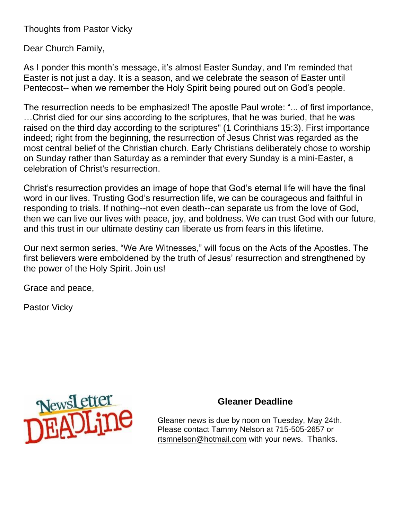Thoughts from Pastor Vicky

Dear Church Family,

As I ponder this month's message, it's almost Easter Sunday, and I'm reminded that Easter is not just a day. It is a season, and we celebrate the season of Easter until Pentecost-- when we remember the Holy Spirit being poured out on God's people.

The resurrection needs to be emphasized! The apostle Paul wrote: "... of first importance, …Christ died for our sins according to the scriptures, that he was buried, that he was raised on the third day according to the scriptures" (1 Corinthians 15:3). First importance indeed; right from the beginning, the resurrection of Jesus Christ was regarded as the most central belief of the Christian church. Early Christians deliberately chose to worship on Sunday rather than Saturday as a reminder that every Sunday is a mini-Easter, a celebration of Christ's resurrection.

Christ's resurrection provides an image of hope that God's eternal life will have the final word in our lives. Trusting God's resurrection life, we can be courageous and faithful in responding to trials. If nothing--not even death--can separate us from the love of God, then we can live our lives with peace, joy, and boldness. We can trust God with our future, and this trust in our ultimate destiny can liberate us from fears in this lifetime.

Our next sermon series, "We Are Witnesses," will focus on the Acts of the Apostles. The first believers were emboldened by the truth of Jesus' resurrection and strengthened by the power of the Holy Spirit. Join us!

Grace and peace,

Pastor Vicky



## **Gleaner Deadline**

Gleaner news is due by noon on Tuesday, May 24th. Please contact Tammy Nelson at 715-505-2657 or [rtsmnelson@hotmail.com](mailto:rtsmnelson@hotmail.com) with your news. Thanks.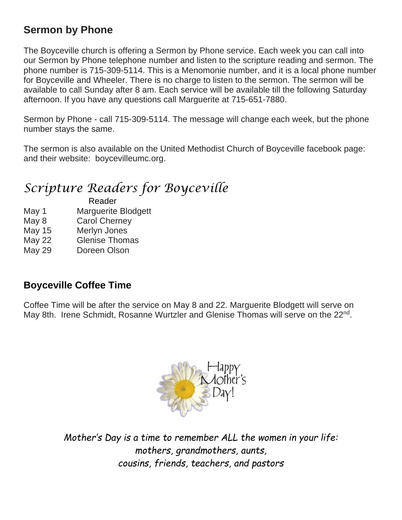# **Sermon by Phone**

The Boyceville church is offering a Sermon by Phone service. Each week you can call into our Sermon by Phone telephone number and listen to the scripture reading and sermon. The phone number is 715-309-5114. This is a Menomonie number, and it is a local phone number for Boyceville and Wheeler. There is no charge to listen to the sermon. The sermon will be available to call Sunday after 8 am. Each service will be available till the following Saturday afternoon. If you have any questions call Marguerite at 715-651-7880.

Sermon by Phone - call 715-309-5114. The message will change each week, but the phone number stays the same.

The sermon is also available on the United Methodist Church of Boyceville facebook page: and their website: boycevilleumc.org.

# *Scripture Readers for Boyceville*

 Reader May 1 Marquerite Blodgett

- May 8 Carol Cherney
- May 15 Merlyn Jones
- May 22 Glenise Thomas
- May 29 Doreen Olson

# **Boyceville Coffee Time**

Coffee Time will be after the service on May 8 and 22. Marguerite Blodgett will serve on May 8th. Irene Schmidt, Rosanne Wurtzler and Glenise Thomas will serve on the 22<sup>nd</sup>.



*Mother's Day is a time to remember ALL the women in your life: mothers, grandmothers, aunts, cousins, friends, teachers, and pastors*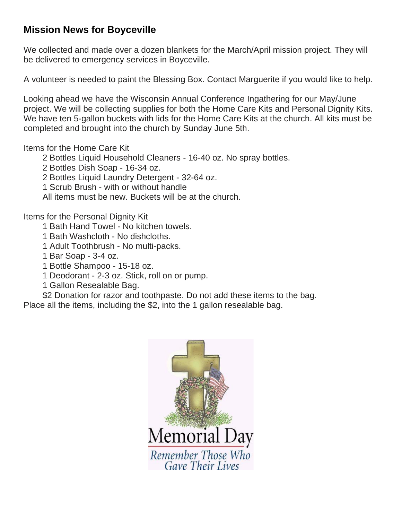## **Mission News for Boyceville**

We collected and made over a dozen blankets for the March/April mission project. They will be delivered to emergency services in Boyceville.

A volunteer is needed to paint the Blessing Box. Contact Marguerite if you would like to help.

Looking ahead we have the Wisconsin Annual Conference Ingathering for our May/June project. We will be collecting supplies for both the Home Care Kits and Personal Dignity Kits. We have ten 5-gallon buckets with lids for the Home Care Kits at the church. All kits must be completed and brought into the church by Sunday June 5th.

## Items for the Home Care Kit

2 Bottles Liquid Household Cleaners - 16-40 oz. No spray bottles.

2 Bottles Dish Soap - 16-34 oz.

2 Bottles Liquid Laundry Detergent - 32-64 oz.

1 Scrub Brush - with or without handle

All items must be new. Buckets will be at the church.

Items for the Personal Dignity Kit

1 Bath Hand Towel - No kitchen towels.

- 1 Bath Washcloth No dishcloths.
- 1 Adult Toothbrush No multi-packs.
- 1 Bar Soap 3-4 oz.
- 1 Bottle Shampoo 15-18 oz.
- 1 Deodorant 2-3 oz. Stick, roll on or pump.
- 1 Gallon Resealable Bag.

\$2 Donation for razor and toothpaste. Do not add these items to the bag.

Place all the items, including the \$2, into the 1 gallon resealable bag.

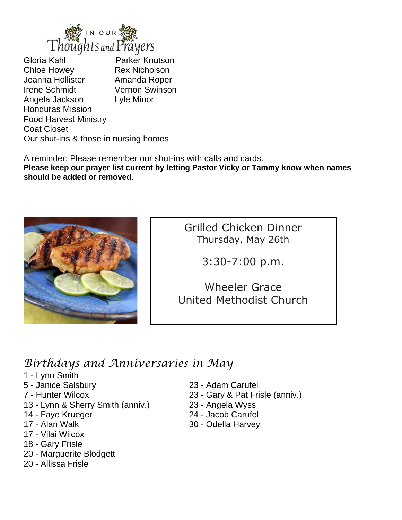

Gloria Kahl Parker Knutson Chloe Howey Rex Nicholson Jeanna Hollister **Amanda Roper** Irene Schmidt Vernon Swinson Angela Jackson Lyle Minor Honduras Mission Food Harvest Ministry Coat Closet Our shut-ins & those in nursing homes

A reminder: Please remember our shut-ins with calls and cards.

**Please keep our prayer list current by letting Pastor Vicky or Tammy know when names should be added or removed**.



Grilled Chicken Dinner Thursday, May 26th

3:30-7:00 p.m.

Wheeler Grace United Methodist Church

# *Birthdays and Anniversaries in May*

- 1 Lynn Smith
- 5 Janice Salsbury 23 Adam Carufel
- 
- 13 Lynn & Sherry Smith (anniv.) 23 Angela Wyss
- 
- 
- 17 Vilai Wilcox
- 18 Gary Frisle
- 20 Marguerite Blodgett
- 20 Allissa Frisle
- 
- 7 Hunter Wilcox 23 Gary & Pat Frisle (anniv.)
	-
- 14 Faye Krueger 24 Jacob Carufel
- 17 Alan Walk 30 Odella Harvey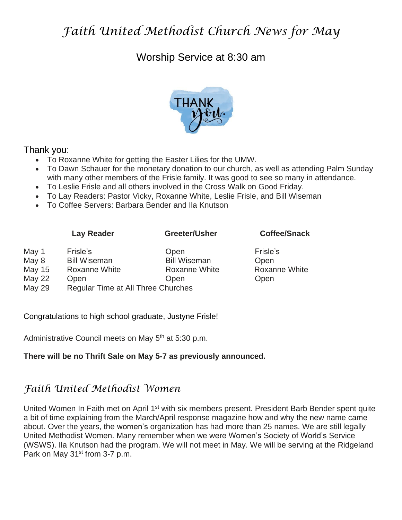# *Faith United Methodist Church News for May*

## Worship Service at 8:30 am



### Thank you:

- To Roxanne White for getting the Easter Lilies for the UMW.
- To Dawn Schauer for the monetary donation to our church, as well as attending Palm Sunday with many other members of the Frisle family. It was good to see so many in attendance.
- To Leslie Frisle and all others involved in the Cross Walk on Good Friday.
- To Lay Readers: Pastor Vicky, Roxanne White, Leslie Frisle, and Bill Wiseman
- To Coffee Servers: Barbara Bender and Ila Knutson

#### **Lay Reader Greeter/Usher Coffee/Snack**

| Frisle's             | Frisle's                                                                                   |
|----------------------|--------------------------------------------------------------------------------------------|
| <b>Bill Wiseman</b>  | Open                                                                                       |
| <b>Roxanne White</b> | Roxanr                                                                                     |
| Open                 | Open                                                                                       |
|                      |                                                                                            |
|                      | Open<br><b>Bill Wiseman</b><br>Roxanne White<br>Open<br>Regular Time at All Three Churches |

Roxanne White

Congratulations to high school graduate, Justyne Frisle!

Administrative Council meets on May 5<sup>th</sup> at 5:30 p.m.

### **There will be no Thrift Sale on May 5-7 as previously announced.**

## *Faith United Methodist Women*

United Women In Faith met on April 1<sup>st</sup> with six members present. President Barb Bender spent quite a bit of time explaining from the March/April response magazine how and why the new name came about. Over the years, the women's organization has had more than 25 names. We are still legally United Methodist Women. Many remember when we were Women's Society of World's Service (WSWS). Ila Knutson had the program. We will not meet in May. We will be serving at the Ridgeland Park on May 31<sup>st</sup> from 3-7 p.m.